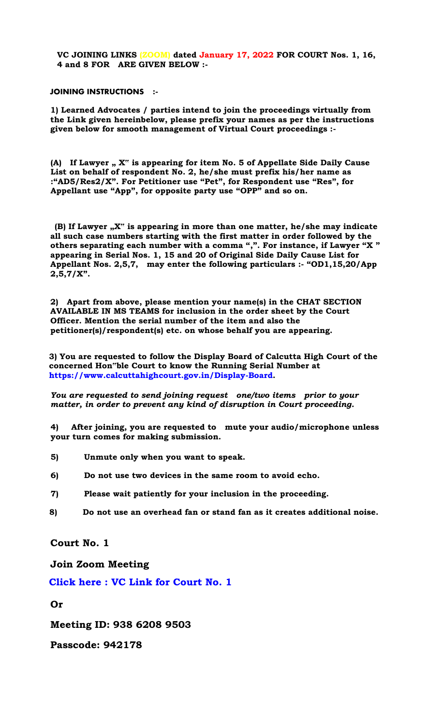**VC JOINING LINKS (ZOOM) dated January 17, 2022 FOR COURT Nos. 1, 16, 4 and 8 FOR ARE GIVEN BELOW :-** 

## **JOINING INSTRUCTIONS :-**

**1) Learned Advocates / parties intend to join the proceedings virtually from the Link given hereinbelow, please prefix your names as per the instructions given below for smooth management of Virtual Court proceedings :-** 

**(A) If Lawyer " X" is appearing for item No. 5 of Appellate Side Daily Cause List on behalf of respondent No. 2, he/she must prefix his/her name as :"AD5/Res2/X". For Petitioner use "Pet", for Respondent use "Res", for Appellant use "App", for opposite party use "OPP" and so on.** 

**(B) If Lawyer "X" is appearing in more than one matter, he/she may indicate all such case numbers starting with the first matter in order followed by the others separating each number with a comma ",". For instance, if Lawyer "X " appearing in Serial Nos. 1, 15 and 20 of Original Side Daily Cause List for Appellant Nos. 2,5,7, may enter the following particulars :- "OD1,15,20/App 2,5,7/X".** 

**2) Apart from above, please mention your name(s) in the CHAT SECTION AVAILABLE IN MS TEAMS for inclusion in the order sheet by the Court Officer. Mention the serial number of the item and also the petitioner(s)/respondent(s) etc. on whose behalf you are appearing.** 

**3) You are requested to follow the Display Board of Calcutta High Court of the concerned Hon"ble Court to know the Running Serial Number at [https://www.calcuttahighcourt.gov.in/Display-Board.](https://www.calcuttahighcourt.gov.in/Display-Board)** 

*You are requested to send joining request one/two items prior to your matter, in order to prevent any kind of disruption in Court proceeding.* 

**4) After joining, you are requested to mute your audio/microphone unless your turn comes for making submission.** 

- **5) Unmute only when you want to speak.**
- **6) Do not use two devices in the same room to avoid echo.**
- **7) Please wait patiently for your inclusion in the proceeding.**
- **8) Do not use an overhead fan or stand fan as it creates additional noise.**

**Court No. 1** 

**Join Zoom Meeting** 

**[Click here : VC Link for Court No. 1](https://zoom.us/j/93862089503?pwd=cnhvM0lFL3ZnOU40ajQrQnJwdi9zZz09)** 

**Or** 

**Meeting ID: 938 6208 9503** 

**Passcode: 942178**